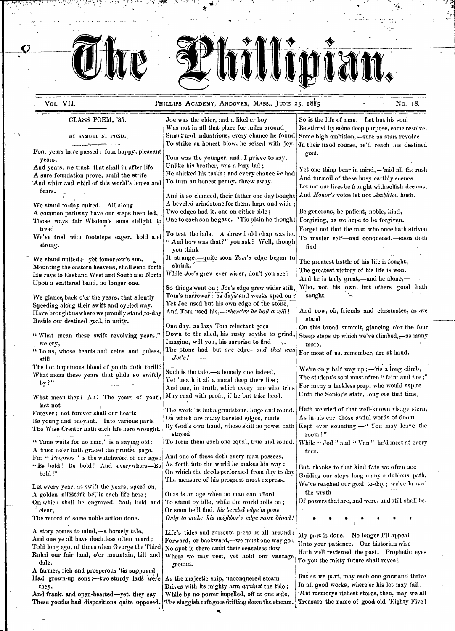$\mathbf{u}$  the  $\mathbf{u}$ VOL. VII. **PHILLIPS ACADEMY, ANDOVER, MASS., JUNE 23, 1885** And Mo. 18. CLASS POEM, '85,<br>
Vas not in all that place for miles around<br>
So is the life of man. Let but his soul<br>
Be stirred by some deep purpose, some represed by some deep purpose, some represed by some deep purpose. Be stirred by some deep purpose, some resolve, *IBY SAMUEL N. POND.*<br> **ISMART** and industrious, every chance he found Some high ambition,—sure as stars revolve<br> **ISMARTA AMEL ISMARTA ARTICION**, he seized with joy. In their fixed course, he'll reach his desting In their fixed course, he'll reach his destined Four years have passed; four happy, pleasant goal. years,<br>
years, we trust, that shall in after life Unlike his brother, was a lazy lad; And years, we trust, that shall in after life  $\begin{array}{c}$  Unlike his brother, was a lazy lad;<br>A sure foundation prove, amid the strife He shirked his tasks; and every chance he had And years, we trust, that shall in after fire<br>A sure foundation prove, amid the strife He shirked his tasks; and every chance *he* had  $\begin{bmatrix} \text{Yet} & \text{Set} & \text{Set} & \text{Set} \\ \text{Set} & \text{Set} & \text{Set} & \text{Set} \\ \text{And } & \text{Set} & \text{Set} & \text{Set} \\ \text{And } & \text$ The state contained prove, and the state of the state of the state of the state of the state of the state of the state of the state of the state of the state of the state of the state of the state of the state of the state We stand to-day united. All along  $\begin{bmatrix} A & B \end{bmatrix}$  A beveled grindstone for them. large and wide ;<br>A common pathway have our steps been led. Two edges had it, one on either side ; A common pathway have our steps been led, Two edges had it, one on either side;<br>Those wave fair Wisdom's sons delight to One to each son hegave. Tis plain he thought Forgiving, as we hope to be forgiven. Those ways fair Wisdom's sons delight to tread Forget not that the man who once hath striven<br>Forget not that the man who once hath striven We've trod with footsteps eager, bold and  $\begin{bmatrix} 10 \text{ test the has.} \end{bmatrix}$  A shrewd old chap was he. To master self-and conquered,-soon doth strong. ". And how was that?" you ask? Well, though  $\begin{vmatrix} 10 \\ 10 \\ \text{find} \end{vmatrix}$ We stand united ;--yet tomorrow's sun, <br>Mounting the eastern heavens, shall send forth shrink, Mounting the eastern heavens, shall send forth shrink,<br>His rays to East and West and South and North While Joe's grew ever wider, don't you see?<br>The greatest victory of his life is won. His rays to East and West and South and North While Joe's grew ever wider, don't you see?<br>Upon a scattered band, no longer one.<br>So things went on; Joe's edge grew wider still, Who, not his own, but others good hath We glance, back o'er the years, that silently  $\begin{array}{|l|l|}\n\hline\n\text{Tom's narrower; as day's and weeks speed on ;} \text{ sought.} \\
\text{Sued by a red of the stone,} \end{array}$ Speeding along their swift and cycled way, Yet Joe used but his own edge of the stone,<br>Have brought us where we propelly stand to day And Tom used his,—whene'er he had a will! Have brought us where we proudly stand, to-day And Tom used his,—whene'er he had a will! And now, oh, friends and classmates, as we have been determined as we have been determined with the stand Beside our destined goal, in unity.<br>One day, as lazy Tom reluctant goes One day, as lazy Tom reluctant goes On this broad summit, glancing o'er the four<br>Down to the shed, his rusty scythe to grind, Steen steps up which we've climbed.—as many "What mean these swift revolving years," Down to the shed, his rusty scythe to grind, Steep steps up which we've climbed, $z$ -as many we cry,<br>
The stone had but one edge-and that was Expressed the more,<br>
The stone had but one edge-and that was Expressed  $\frac{1}{10}$  To us, whose hearts and veins and pulses, The stone had but *one* edge—and that was For most of us, remember, are at hand. still *Joe's!* The hot impetuous blood of youth doth thrill? Such is the tale,—a homely one indeed, We're only half way up;—'tis a long climb, What mean these years that glide so swiftly Such is the tale,—a homely one indeed, by?"<br>by?" And one, in truth, which every one who tries For many a luckless prep, who would aspire And one, in truth, which every one who tries For many a luckless prep, who would aspire May read with profit, if he but take heed. Unto the Senior's state, long ere that time, What mean they? Ah! The years of youth last not Forever; not forever shall our hearts The world is but a grindstone. huge and round. Hath wearied of that well-known visage stern,<br>The world is but a grindstone. huge and round. As in-his ear, those awful words of doom Be young and buoyant. Into various parts The Wise Creator hath each life here wrought. By God's own hand, whose skill no power hath Kept ever sounding,-" You may leave the stayed room!" Time waits for no man," is a saying old; To form them each one equal, true and sound. While **'4** Jod " and " Van " he'd meet at every A truer ne'er hath graced the printed page.<br>For  $\cdot$  Progress " is the watchword of our age. And one of these doth every man possess, For " *Progress*" is the watchword of our age:  $|\text{And one of these doth every man possess, 4 Be hold! Be hold! And everywhere—Be | As forth into the world he makes his way;$ "Be bold! Be bold! And everywhere-Be As forth into the world he makes his way:<br>bold!"<br>bold!"<br>cutation our stars lang many solutions we bold!"<br>Let every year, as swift the years, speed on,<br>A golden milestone be, in each life here;<br>A golden milestone be, in each life here;<br>Ours is an age when no man can afford<br>the wrath A golden milestone be, in each life here; Ours is an age when no man can afford the wrath  $Qn$  which shall be engraved, both bold and To stand by idle, while the world rolls on;  $Qn$  powers that are, and were, and still s the wrath On which shall be engraved, both bold and clear, Or soon he'll find, *his beveled edge is gone* The record of some noble action done.  $\int$  *Only to make his neighbor's edge more broad!* 

A story comes to mind,—a homely tale, Life's tides and currents press us all around;  $\Delta$  My part is done. No longer I'll appeal and current of the state of the state of the state of the state of the state of the state of Forward, or backward,—we must one way go;  $\begin{bmatrix} \text{mJy} & \text{mJy} & \text{mJy} & \text{mJy} & \text{mJy} & \text{mJy} & \text{mJy} \\ \text{mJy} & \text{mJy} & \text{mJy} & \text{mJy} & \text{mJy} & \text{mJy} & \text{mJy} \\ \text{mJy} & \text{mJy} & \text{mJy} & \text{mJy} & \text{mJy} & \text{mJy} & \text{mJy} & \text{m$ Told long ago, of times when George the Third No spot is there amid their ceaseless flow Thath well reviewed the past. Prophetic eyes Ruled our fair land, o'er mountain, hill and Where we may rest, yet hold our vantage dale. The main states of the misture shall reveal.

Had grown-up sons;—two sturdy lads were As the majestic ship, unconquered steam that as we part, may each one grow and thrive they. they,<br>nd frank, and open-hearted—vet, they say<br>While by no power impelled, off at one side, While memorys richest stores, then, may we all And frank, and open-hearted-yet, they say  $|$  While by no power impelled, off at one side, These youths had dispositions quite opposed. The sluggish raft goes drifting *down* the stream. Treasure the name of good old 'Eighty-Five 1

A farmer, rich and prosperous 'tis supposed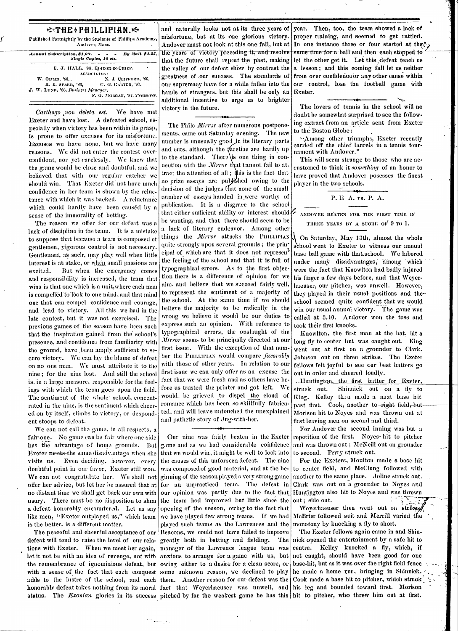| $\Rightarrow$ THE: PHILLIPIAN.<br>Published Fortnightly by the Students of Phillips Academy,<br>And .ver. Mass. |                                                  | $\mathbf a$<br>n |
|-----------------------------------------------------------------------------------------------------------------|--------------------------------------------------|------------------|
| Annual Subscription, \$1,00.                                                                                    | By Mail, \$1.25.<br>Single Copies, 10 cts.       |                  |
|                                                                                                                 | E. J. HALL, '86, EDITOR-IN-CHIEF.<br>ASSOCIATES: | t.               |
| W. ODLIN, '86,                                                                                                  | N. J. CLIFFORD, '86,                             |                  |
| К. Е. SPLER, '86,                                                                                               | C. G. CARTER, '87.                               | g<br>o           |
| J. W. LUND, '86, Business Manager,                                                                              | F. G. MORGAN, '87, Treasurer.                    | $\mathbf{h}$     |

We have met Carthago non deleta est. Exeter and have lost. A defeated school, especially when victory has been within its grasp, is prone to offer excuses for its misfortune. Excuses we have none, but we have many reasons. We did not enter the contest overconfident, nor yet carelessly. We knew that the game would be close and doubtful, and we believed that with our regular catcher we should win. That Exeter did not have much confidence in her team is shown by the reluctance with which it was backed. A reluctance which could hardly have been caused by a sense of the immorality of betting.

The reason we offer for our defeat was a lack of discipline in the team. It is a mistake to suppose that because a team is composed of gentlemen, yigorous control is not necessary. Gentlemen, as such, may play well when little interest is at stake, or when small passions are But when the emergency comes excited. and responsibility is increased, the team that wins is that one which is a unit, where each man is compelled to look to one mind, and that mind one that can compel confidence and courage, and lead to victory. All this we had in the late contest, but it was not exercised. The previous games of the season have been such that the inspiration gained from the school's presence, and confidence from familiarity with the ground, have been amply sufficient to secure victory. We can lay the blame of defeat on no one man. We must attribute it to the nine; for the nine lost. And still the school is, in a large measure, responsible for the feelings with which the team goes upon the field. The sentiment of the whole school, concentrated in the nine, is the sentiment which cheered on by itself, climbs to victory, or despond. ent stoops to defeat.

We can not call the game, in all respects, a fair one. No game can be fair where one side has the advantage of home grounds. But Exeter meets-the same disadvantage when she visits us. Even deciding, however, every doubtful point in our favor, Exeter still won. We can not congratulate her. We shall not ginning of the season played a very strong game offer her advice, but let her be assured that at for an unpracticed team. The defeat in no distant time we shall get back our own with usury. There must be no disposition to shun a defeat honorably encountered. Let us say like men, "Exeter outplayed us," which team is the better, is a different matter.

The peaceful and cheerful acceptance of our defeat will tend to raise the level of our relations with Exeter. When we meet her again, let it not be with an idea of revenge, not with the remembrance of ignominious defeat, but with a sense of the fact that each conquest adds to the lustre of the school, and each status. The Exonian glories in its success pitched by far the weakest game he has this hit to pitcher, who threw him out at first.

and naturally looks not at its three years of year. Then, too, the team showed a lack of nisfortune, but at its one glorious victory. proper training, and seemed to get rattled. he years of victory preceding it, and resolve same time for a ball and then each stopped to hat the future shall repeat the past, making let the other get it. Let this defeat teach us he valley of our defeat show by contrast the |a lesson; and this coming fall let us neither greatness of our success. The standards of from over confidence or any other cause within our supremacy have for a while fallen into the ands of strangers, but this shall be only an dditional incentive to urge us to brighter victory in the future.

The Philo Mirror after numerous postponements, came out Saturday evening. The new number is unusually good in its literary parts and cuts, although the facetiae are hardly up to the standard. There is one thing in connection with the Mirror that cannot fail to attract the attention of all ; this is the fact that no prize essays are published owing to the decision of the judges that none of the small number of essays handed in were worthy of publication. It is a disgrace to the school that either sufficient ability or interest should  $\left\langle \right\rangle$ be wanting, and that there should seem to be a lack of literary endeavor. Among other things the Mirror attacks the PHILLIPIAN quite strongly upon several grounds; the principal of which are that it does not represen<sup>t</sup> the feeling of the school and that it is full of typographical errors. As to the first objection there is a difference of opinion for we aim, and believe that we succeed fairly well, to represent the sentiment of a majority of the school. At the same time if we should believe the majority to be radically in the wrong we believe it would be our duties to express such an opinion. With reference to typographical errors, the onslaught of the Mirror seems to be principally directed at our first issue. With the exception of that number the PHILLIPLAN would compare favorably with those of other years. In relation to our first issue we can only offer as an excuse the fact that we were fresh and as others have before us trusted the printer and got left. -We would, be grieved to dispel the cloud of romance which has been so skillfully fabricated, and will leave untouched the unexplained and pathetic story of Jug-with-her.

Our nine was fairly beaten in the Exeter game and as we had considerable confidence that we would win, it might be well to look into the causes of this unforseen defeat. The nine was composed of good material, and at the beour opinion was partly due to the fact that the team had improved but little since the opening of the season, owing to the fact that we have played few strong teams. If we had played such teams as the Lawrences and the Beacons, we could not have failed to improve greatly both in batting and fielding. The manager of the Lawrence league team was anxious to arrange for a game with us, but owing either to a desire for a clean score, or some unknown reason, we declined to play

Andover must not look at this one fall, but at In one instance three or four started at that  $\gamma$ our control, lose the football game with Exeter.

> The lovers of tennis in the school will no doubt be somewhat surprised to see the following extract from an article sent from Exeter to the Boston Globe:

> Among other triumphs, Exeter recently carried off the chief laurels in a tennis tournament with Andover.'

> This will seem strange to those who are accustomed to think it something of an honor to have proved that Andover posesses the finest player in the two schools.

# P. E A. vs. P. A.

ANDOVER BEATEN FOR THE FIRST TIME IN THREE YEARS BY A SCORE OF 9 TO 1.

On Saturday, May 13th, almost the whole school went to Exeter to witness our annual base ball game with that school. We labored under many disadvantages, among which were the fact that Knowlton had badly injured his finger a few days before, and that Weyerhaeuser, our pitcher, was unwell. However, they-played in their usual positions and theschool seemed quite confident that we would win our usual annual victory. The game was called at 3.10. Andover won the toss and took their first knocks.

Knowlton, the first man at the bat, hit a long fly to center but was caught out. King went out at first on a grounder to Clark. Johnson out on three strikes. The Exeter fellows felt joyful to see our best batters go out in order and cheered loudly.

. Huntington, the first batter for Exeter. Shinnick out on a fly to struck out. King. Kelley then made a neat base hit past first. Cook, another to-right field, but-Morison hit to Noyes and was thrown out at first leaving men on second and third.

For Andover the second inning was but a repetition of the first. Noves-hit to pitcher and was thrown out; McNeill out on grounder to second. Perry struck out.

For the Exeters, Moulton made a base hit to center field, and McClung followed with another to the same place. Joline struck out. Clark was out on a grounder to Noyes and Huntington also hit to Noyes and was thrown out; side out.

Weyerhaeuser then went out on strikes McBrier followed suit and Merrill varied the monotony by knocking a fly to short.

The Exeter fellows again came in and Shinnick opened the entertainment by a safe hit to centre. Kelley knocked a fly, which, if not caught, should have been good for one base-hit, but as it was over the right field fence. he made a home run, bringing in Shinnick. them. Another reason for our defeat was the Cook made a base hit to pitcher, which struck honorable defeat takes nothing from its moral fact that Weyerhaeuser was unwell, and his leg and bounded toward first. Morison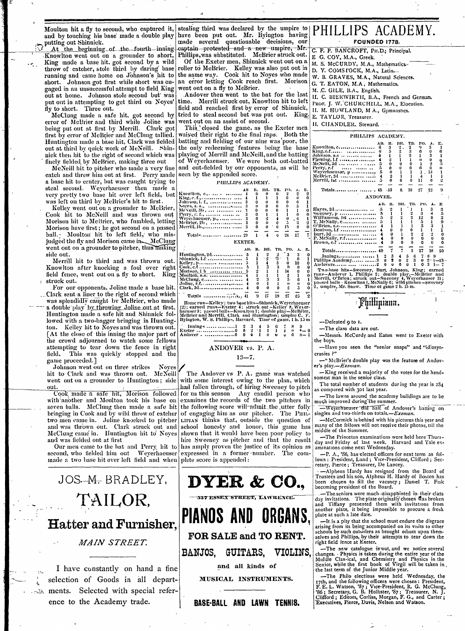Knowlton went out on a grounder to short, Phillips,was substituted. McBrier struck out. E G. COY, M.A., Greek.<br>King made a base hit, got second by a wild Of the Exeter men, Shinnick went out on a M. S. McCURDY, M.A., Mahem gaged in an unsuccessful attempt to field King went out on a fly to McBrier. M.C. GILE, B.A., English. gaged in an unsuccessful attempt to field King went out on a fly to McBrier.<br>out at home. Johnson stole second but was Andover then went to the bat for the last II. C. BIERWIRTH, B.A., French and German.<br>put out in attempt

MecClung made a safe hit, got second by tried to steal second but was put out. King, E. TAYLOR, Treasurer.<br>error of MeBrier and third while Joline was went out on an assist of second.<br>being put out at first by Merrill. Cl Huntington made a base hit, Clark was fielded out at third by quick work of McNeill. Shin-

For our opponents, Joline made a base hit. Clark, 3d............................  $\frac{1}{4}$   $\begin{array}{ccc} 0 & 1 & 1 & 0 \\ 0 & 0 & 0 & 2 \\ \frac{1}{4} & \frac{1}{8} & \frac{1}{15} & \frac{1}{19} & \frac{1}{27} \\ \frac{1}{8} & \frac{1}{19} & \frac{1}{19} & \frac{1}{27} \end{array}$ ...Clark sent a liner to the righlit of second which Totnls ............ ';,, 1 **9** *a* **17** 19 27 2 ' was splendidly caught by McBrier, who made Homerun-Kelley; two basehits-Shinnick, Weyerhacuser and abouble play by throwing Joline out at first. (2); earned runs-Exeter 4; struck out -Kelley 8, Weyer.<br>Huntington made a saf lowed with a two-bagger bringing in Hunting- Bylngton, W. s. Phillip-, Harvard, Time of game, 1 h. 15 m -Defeated 9 to 1.<br>
ton. Kelley hit to Noyes and was thrown out.  $\begin{bmatrix} 1 & 0 & 0 \\ 0 & 0 & 0 \end{bmatrix}$  and  $\begin{bmatrix} 0 & 0 & 0 \\ 0$ ton. Kelley hit to Noyes and was thrown out. ' lnnitig ............. 1 2 3 45 7 8 -The class data are out. Exeter ................... 0 n 2 '1 I *1 4 I* \*- 9 - [At the close of this inning the major part of Andlover. ............... 0 0 1 u u o - -Messrs. McCurdy and Eaton went to Exeter with the crowd adjourned to watch some fellows attempting to tear down the fence in right ANDOVER vs. P. A. Thave you seen the "senior snaps" and "idiosynattempting to tear down the fence in right  $\begin{array}{c|c}\n\text{ANDOVER vs. P. A.}\n\end{array}$  -11ave field. This was quickly stopped and the  $\begin{array}{ccc}\n\text{AND OVER vs. P. A.}\n\end{array}$ field. This was quickly stopped and the game proceeded.] 13-7.

Johnson went out on three strikes Noves / The Communication of the *s*play.-Exonia.

made a two base hit over left field and when plete score is appended:

*MAIN STREET.* 

ments. Selected with special refer-<br>ence to the Academy trade. **BASE-BALL AND LAWN TENNIS.** Presentatives, Perce, Davis, Nellang and Watson, B. Treasurer, N. J.<br>ence to the Academy trade. **BASE-BALL AND LAWN TENNIS.** Edito

Moulton hit a fly to second, who captured it, stealing third was declared by the umpire to and by touching his base made a double play have been put out. Mr. Byington having  $\mathbb{P}$  PHILLIPS ACADEMY. and by touching his base made a double play have been put out. Mr. Byington having I IIILIII O TICTID method of the permanent made several questionable decisions, our putting out Shinnick.<br>At the beginning of the fourth in

King made a base hit. got second by a wild Of the Exeter men, Shinnick went out on a M. S. McCURDY, M.A., Mathematics. throw of catcher, stole third by **daring** base roller to McBrier. Kelley was also put out in D. y. COMS I'OCK, M.A., **Latin-.** running and came home on Johnson's hit to the same way. Cook hit to Noyes who made **W. B. GRAVES, M.A., Natural Sciences** short. **Johnson** got first while short was **en-** an error letting Cook reach first. Morison G. T. EATON, M.A, Mathematics.

put out in attempting to get third on Noyes' time. Merrill struck out, Knowlton hit to left race. J. W. CHURCHILL, M.A., Elocution.<br>Hy to short. Three out. x to short. Three out.  $\begin{aligned} \text{find and reached first by error of Shinnick,} \quad \text{If. M. HOWLAND, M. A., Gymnastics.} \quad \text{McClung made a safe hit, got second by tried to steal second but was put out. King, E. TAYLOR. Treasury.} \end{aligned}$ 

being put out at first by Merrill. Clark got This closed the game, as the Exeter men first by error of McBrier and McClung tallied. waiyed their right to the final raps. Both the first by error of McBrier and McClung tallied. waived their right to the final raps. Both the Huntington made a base hit, Clark was fielded batting and fielding of our nine was poor, the nick then hit to the right of second which was | playing of Merrill and McNeill, and the batting<br>
finely fielded by McBrier, making three out<br>
McNeill hit to pitcher who made a very fine<br>
and out-fielded by our opponents,

hit to Clark and was thrown out. McNeill<sup>'</sup> The Andover vs P. A. game was watched  $\begin{bmatrix} -K$ ing received a majority of the votes for the handhit to Clark and was thrown out. McNeill The Andover vs P. A. game was watched -King received a majority of the votes for the hand-<br>went out on a grounder to Huntington; side with some interest owing to the plan, which som out.<br>Cook, made a safe hit, Morison followed for us this season Any candid person who as compared with 301 ast year. Cook made a safe hit, Morison followed for us this season Any candid person who  $\left| \frac{1}{2} \right|$  as compared who joi last year.<br>with another and Moulton took his base on examines the records of the two pitchers in much imp with another and Moulton took his base on examines the records of the two pitchers in much improved during the summer.<br>seven balls. McClung then made a safe hit the following score will admit the utter folly seven balls. McClung then made a safe hit the following score will-admit the utter folly - *weverhaeuser-did half of Andover's batting on* bringing in Cook and by wild throw of eatcher of engaging him as our pitcher. The P bringing in Cook and by wild throw of catcher of engaging him as our pitcher. The PHIL- singles and two-thirds on totals.—*Exonan.*<br>two men came in. Joline knocked to pitcher LIFIAN thinks that, outside the question of —Mc LIPIAN thinks that, outside the question of -McCormick is behind with his pictures this year and school honesty and honor, this game has many of the fellows will not receive their photos, till the and was thrown out. Clark struck out and school honesty and honor, this game has many of the fellows will McClung came in. Huntington hit to Noves shown that it would have been poor policy to middle of the Summer. Accluding came in. Huntington int to Noves shown that it would have been poor policy to<br>and was fielded out at first<br>Our men came to the bat and Perry, hit to has amply proven the justice of its opinion as aminations come Our men came to the bat and Perry. hit to has amply proven the justice of its opinion as second, who fielded him out Weyerhaeuser expressed in a former-number. The comsecond, who fielded him out Weyerhaeuser expressed in a former-number. The com-  $[-$  P. A., '86, has-elected officers for next term as fol-



- 
- 
- 
- 
- 
- 
- 
- 
- 

|                                                                          | first by error of McBrier and McClung tallied.   waiyed their right to the final raps. Both the | PHILLIPS ACADEMY.                                                                                          |
|--------------------------------------------------------------------------|-------------------------------------------------------------------------------------------------|------------------------------------------------------------------------------------------------------------|
|                                                                          | Huntington made a base hit, Clark was fielded batting and fielding of our nine was poor, the    | AB.<br>TB.<br>PO.<br>A. E.                                                                                 |
| out at third by quick work of McNeill. Shin-                             | the only redeeming features being the base                                                      | Knowlton, C 6                                                                                              |
| nick then hit to the right of second which was                           | playing of Merrill and McNeill, and the batting                                                 | Johnson. 8.8    i                                                                                          |
| finely fielded by McBrier, making three out                              | of Weyerhaeuser. We were both out-batted                                                        |                                                                                                            |
| McNeill hit to pitcher who made a very fine                              | and out-fielded by our opponents, as will be                                                    | MeNelli, 3d   5<br>$Perry, r.f \dots, \dots, \dots$                                                        |
| catch and threw him out at first. Perry made seen by the appended score. |                                                                                                 | Weyerhaeusar, p 5<br>IJ                                                                                    |
| a base hit to center, but was eaught trying to                           |                                                                                                 | Merrill, $1st$ $11.11$                                                                                     |
| steal second. Weverhaeuser then made a                                   | PHILLIPS ACADEMY.                                                                               |                                                                                                            |
|                                                                          | TB.<br>РО, А. Е.<br>AB<br>Knowlton, c.,.  4                                                     | 27<br>10<br>8.                                                                                             |
| very pretty two base hit over left field, but                            |                                                                                                 | ANDOVER.                                                                                                   |
| was left on third by McBrier's hit to first.                             |                                                                                                 | AB. R. BH. TB. PO.                                                                                         |
| Kelley went out on a grounder to McBrier,                                | Noyes, 8. 8.,  3<br>MeNeill, 3b,    3                                                           |                                                                                                            |
| Cook hit to McNeill and was thrown out                                   | Λ.<br>$Perry, r, f., \ldots, \ldots, \ldots, \ldots$                                            | $S$ weeney, $p_1, \ldots, p_n, \ldots, p_n, \ldots, p_1, \ldots, p_n$                                      |
| Morison hit to MeBrier, who fumbled, letting                             | Weyerhaeuser, p.,   3                                                                           | Williamson, 1st  5<br><b>T</b> , McNally, c  5                                                             |
| Morison have first; he got second on a passed                            | Melsrier, 2b,  3<br>Merrill, 1b.,  3                                                            |                                                                                                            |
|                                                                          |                                                                                                 | Dentson, 1.1  4                                                                                            |
| ball. Moulton hit to left field, who mis-                                | Total -   29<br>24<br>-17                                                                       |                                                                                                            |
| judged the fly and Morison came in McClung                               | EXETER.                                                                                         | Brown, e.f.   4                                                                                            |
| went out on a grounder to pitcher, thus making                           | TB. PO. A. E.<br>AB. R.<br>вн.                                                                  | Totals 40                                                                                                  |
| side out.                                                                | Huntington, 2d 5                                                                                | $\text{Jnnings}, \dots, \dots, \dots, \dots, 1 \quad 2 \quad 3 \quad 4 \quad 5$<br>-6<br>$7 - 8$ 9         |
| Merrill hit to third and was thrown out.                                 | $Shinick, 1.1$ 5<br>∵ĝ.<br>Kelley, p  5                                                         | Phillips Academy 3 $0 \quad 2 \quad 0 \quad 2 \quad 3 \quad 6 \quad 2^{-1} - 13$                           |
| Knowlton after knocking a foul over right                                | $\text{Cook}, \text{c.f.} \dots \dots \dots \dots \dots \dots \dots$                            | $0 \t3 \t1 - 7$                                                                                            |
| field fence, went out on a fly to short.<br>King t                       | Morison, I b   5                                                                                | Two-base hits-Sweeney, Burt, Johnson, King; earned<br>runs-Andover 1, Phillips 2; double play,-McBrier and |
|                                                                          | Moulton, s.s.  4<br>McClung, c                                                                  | Merrill, O'Brien; struck out-Sweeney 4, Weyerhauser 11;                                                    |
| struck out.                                                              |                                                                                                 | passed balls - Knowlton I, McNally 6; wild pitches - sweeney                                               |
| For our opponents. Joline mude a hase bit                                |                                                                                                 | $\tilde{h}$   2, umplre, Mr. Snow. Time of game 2 h. 15 m.                                                 |

was the feature of Andov-<br>er's play. - Exonian.

retary, Pierce; Treasurer, De Lancey.

another plate, it being impossible to procure a fresh plate at such a late date.

**FOR SALE and TO RENT.** Selves and Phillips, by their attempts to tear down the right field fence at Exeter.